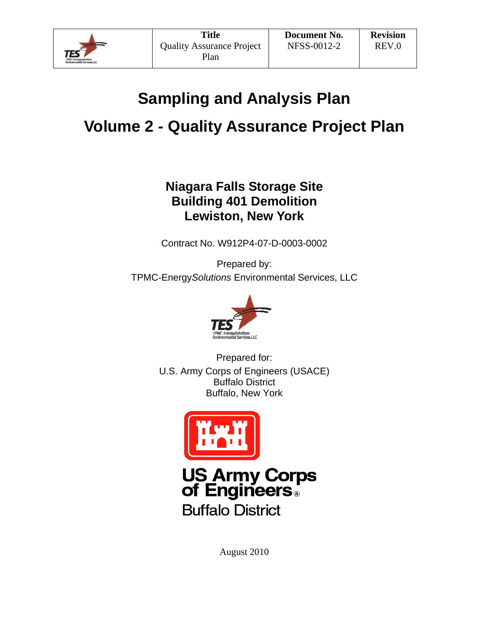

# **Sampling and Analysis Plan**

# **Volume 2 - Quality Assurance Project Plan**

## **Niagara Falls Storage Site Building 401 Demolition Lewiston, New York**

Contract No. W912P4-07-D-0003-0002

Prepared by: TPMC-Energy*Solutions* Environmental Services, LLC



Prepared for: U.S. Army Corps of Engineers (USACE) Buffalo District Buffalo, New York



**US Army Corps<br>of Engineers Buffalo District** 

August 2010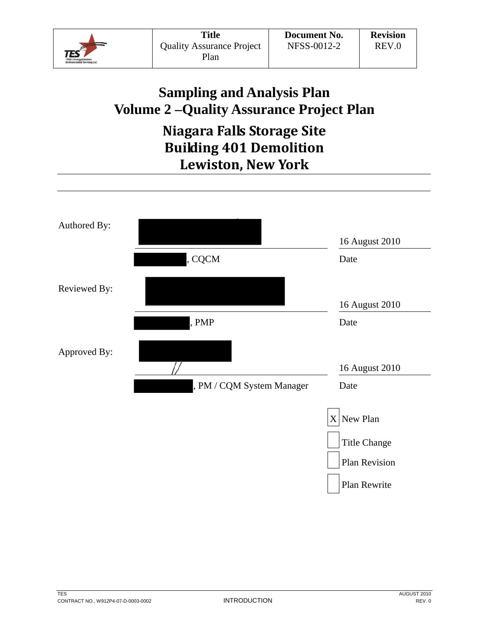

# **Sampling and Analysis Plan Volume 2 –Quality Assurance Project Plan**

# **Niagara Falls Storage Site Building 401 Demolition Lewiston, New York**

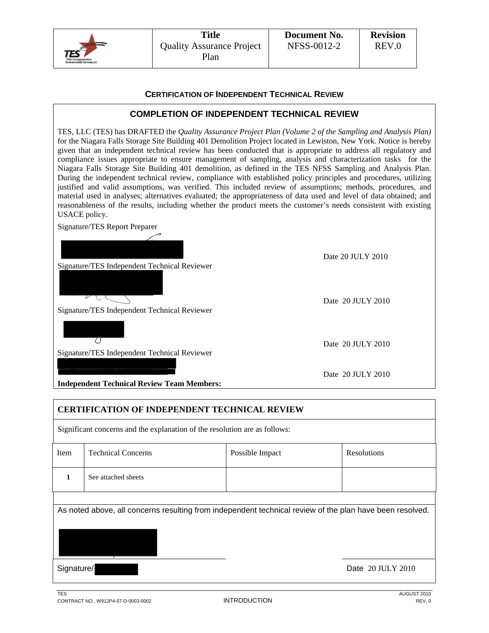

#### **CERTIFICATION OF INDEPENDENT TECHNICAL REVIEW**

## **COMPLETION OF INDEPENDENT TECHNICAL REVIEW**

TES, LLC (TES) has DRAFTED the *Quality Assurance Project Plan (Volume 2 of the Sampling and Analysis Plan)* for the Niagara Falls Storage Site Building 401 Demolition Project located in Lewiston, New York. Notice is hereby given that an independent technical review has been conducted that is appropriate to address all regulatory and compliance issues appropriate to ensure management of sampling, analysis and characterization tasks for the Niagara Falls Storage Site Building 401 demolition, as defined in the TES NFSS Sampling and Analysis Plan. During the independent technical review, compliance with established policy principles and procedures, utilizing justified and valid assumptions, was verified. This included review of assumptions; methods, procedures, and material used in analyses; alternatives evaluated; the appropriateness of data used and level of data obtained; and reasonableness of the results, including whether the product meets the customer's needs consistent with existing USACE policy.

Signature/TES Report Preparer

 $\vee \cup$ 

U

Date 20 JULY 2010

Date 20 JULY 2010

Signature/TES Independent Technical Reviewer

Signature/TES Independent Technical Reviewer

Signature/TES Independent Technical Reviewer

|  | Date 20 JULY 2010 |
|--|-------------------|
|--|-------------------|

Date 20 JULY 2010

**Independent Technical Review Team Members:** 

## **CERTIFICATION OF INDEPENDENT TECHNICAL REVIEW**

Significant concerns and the explanation of the resolution are as follows:

| See attached sheets |  |
|---------------------|--|

As noted above, all concerns resulting from independent technical review of the plan have been resolved.

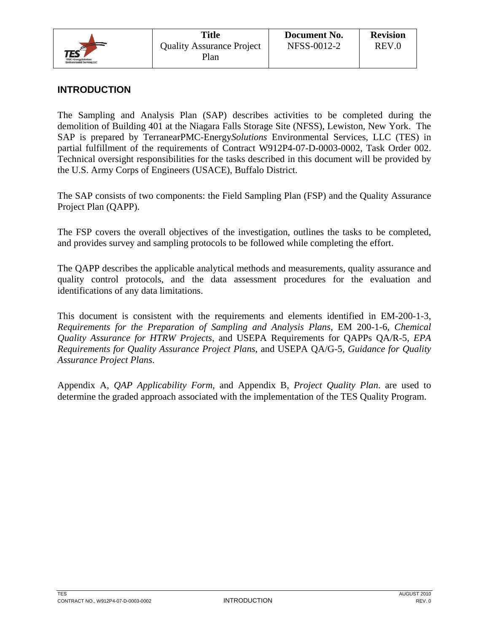

## **INTRODUCTION**

The Sampling and Analysis Plan (SAP) describes activities to be completed during the demolition of Building 401 at the Niagara Falls Storage Site (NFSS), Lewiston, New York. The SAP is prepared by TerranearPMC-Energy*Solutions* Environmental Services, LLC (TES) in partial fulfillment of the requirements of Contract W912P4-07-D-0003-0002, Task Order 002. Technical oversight responsibilities for the tasks described in this document will be provided by the U.S. Army Corps of Engineers (USACE), Buffalo District.

The SAP consists of two components: the Field Sampling Plan (FSP) and the Quality Assurance Project Plan (QAPP).

The FSP covers the overall objectives of the investigation, outlines the tasks to be completed, and provides survey and sampling protocols to be followed while completing the effort.

The QAPP describes the applicable analytical methods and measurements, quality assurance and quality control protocols, and the data assessment procedures for the evaluation and identifications of any data limitations.

This document is consistent with the requirements and elements identified in EM-200-1-3, *Requirements for the Preparation of Sampling and Analysis Plans*, EM 200-1-6, *Chemical Quality Assurance for HTRW Projects*, and USEPA Requirements for QAPPs QA/R-5, *EPA Requirements for Quality Assurance Project Plans*, and USEPA QA/G-5, *Guidance for Quality Assurance Project Plans*.

Appendix A, *QAP Applicability Form*, and Appendix B, *Project Quality Plan*. are used to determine the graded approach associated with the implementation of the TES Quality Program.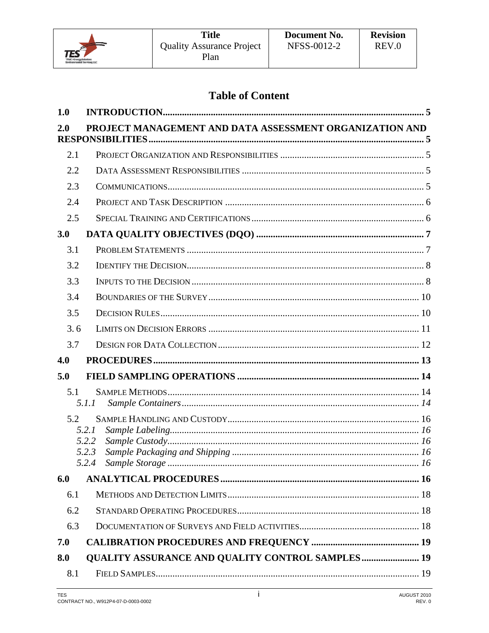

## **Table of Content**

| 1.0 |                                                         |  |
|-----|---------------------------------------------------------|--|
| 2.0 | PROJECT MANAGEMENT AND DATA ASSESSMENT ORGANIZATION AND |  |
| 2.1 |                                                         |  |
| 2.2 |                                                         |  |
| 2.3 |                                                         |  |
| 2.4 |                                                         |  |
| 2.5 |                                                         |  |
| 3.0 |                                                         |  |
| 3.1 |                                                         |  |
| 3.2 |                                                         |  |
| 3.3 |                                                         |  |
| 3.4 |                                                         |  |
| 3.5 |                                                         |  |
| 3.6 |                                                         |  |
| 3.7 |                                                         |  |
| 4.0 |                                                         |  |
| 5.0 |                                                         |  |
| 5.1 | 5.1.1                                                   |  |
| 5.2 |                                                         |  |
|     | 5.2.1                                                   |  |
|     | 5.2.2<br>5.2.3                                          |  |
|     | 5.2.4                                                   |  |
| 6.0 |                                                         |  |
| 6.1 |                                                         |  |
| 6.2 |                                                         |  |
| 6.3 |                                                         |  |
| 7.0 |                                                         |  |
| 8.0 | <b>QUALITY ASSURANCE AND QUALITY CONTROL SAMPLES 19</b> |  |
| 8.1 |                                                         |  |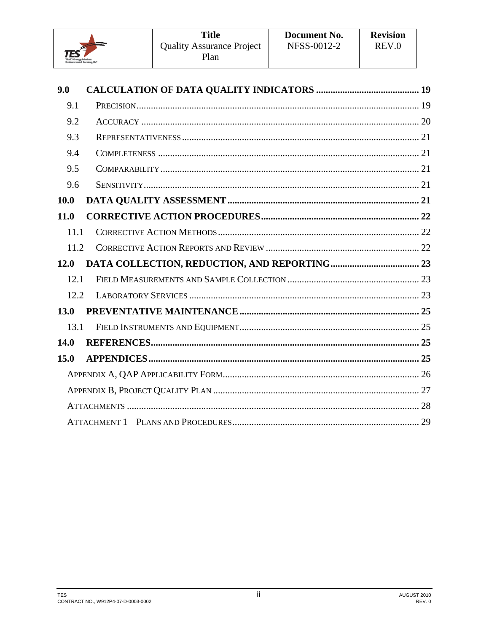

| 9.0         |  |
|-------------|--|
| 9.1         |  |
| 9.2         |  |
| 9.3         |  |
| 9.4         |  |
| 9.5         |  |
| 9.6         |  |
| <b>10.0</b> |  |
| <b>11.0</b> |  |
| 11.1        |  |
| 11.2        |  |
| 12.0        |  |
| 12.1        |  |
| 12.2        |  |
| 13.0        |  |
| 13.1        |  |
| 14.0        |  |
| 15.0        |  |
|             |  |
|             |  |
|             |  |
|             |  |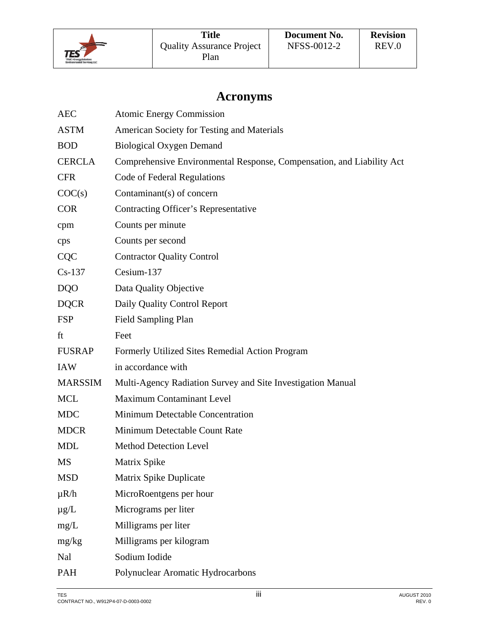

## **Acronyms**

| <b>AEC</b>     | <b>Atomic Energy Commission</b>                                       |
|----------------|-----------------------------------------------------------------------|
| <b>ASTM</b>    | American Society for Testing and Materials                            |
| <b>BOD</b>     | <b>Biological Oxygen Demand</b>                                       |
| <b>CERCLA</b>  | Comprehensive Environmental Response, Compensation, and Liability Act |
| <b>CFR</b>     | <b>Code of Federal Regulations</b>                                    |
| COC(s)         | Contaminant(s) of concern                                             |
| <b>COR</b>     | <b>Contracting Officer's Representative</b>                           |
| cpm            | Counts per minute                                                     |
| cps            | Counts per second                                                     |
| <b>CQC</b>     | <b>Contractor Quality Control</b>                                     |
| $Cs-137$       | Cesium-137                                                            |
| <b>DQO</b>     | Data Quality Objective                                                |
| <b>DQCR</b>    | Daily Quality Control Report                                          |
| <b>FSP</b>     | <b>Field Sampling Plan</b>                                            |
| ft             | Feet                                                                  |
| <b>FUSRAP</b>  | Formerly Utilized Sites Remedial Action Program                       |
| <b>IAW</b>     | in accordance with                                                    |
| <b>MARSSIM</b> | Multi-Agency Radiation Survey and Site Investigation Manual           |
| <b>MCL</b>     | <b>Maximum Contaminant Level</b>                                      |
| <b>MDC</b>     | Minimum Detectable Concentration                                      |
| <b>MDCR</b>    | Minimum Detectable Count Rate                                         |
| <b>MDL</b>     | <b>Method Detection Level</b>                                         |
| MS             | Matrix Spike                                                          |
| <b>MSD</b>     | Matrix Spike Duplicate                                                |
| $\mu R/h$      | MicroRoentgens per hour                                               |
| $\mu$ g/L      | Micrograms per liter                                                  |
| mg/L           | Milligrams per liter                                                  |
| mg/kg          | Milligrams per kilogram                                               |
| Nal            | Sodium Iodide                                                         |
| PAH            | Polynuclear Aromatic Hydrocarbons                                     |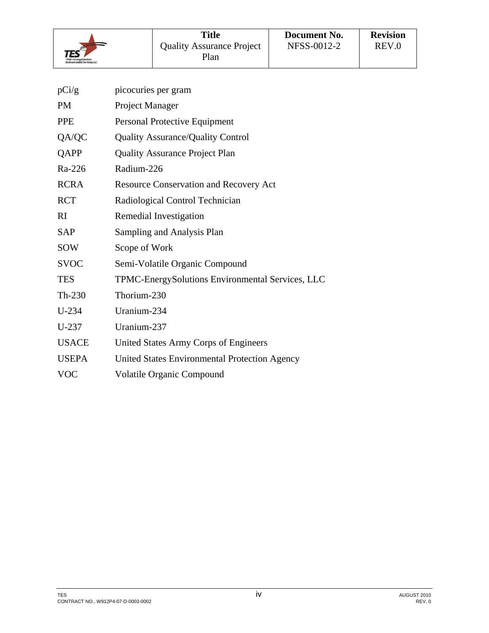

| pCi/g        | picocuries per gram                              |
|--------------|--------------------------------------------------|
| <b>PM</b>    | Project Manager                                  |
| <b>PPE</b>   | Personal Protective Equipment                    |
| QA/QC        | <b>Quality Assurance/Quality Control</b>         |
| QAPP         | <b>Quality Assurance Project Plan</b>            |
| Ra-226       | Radium-226                                       |
| <b>RCRA</b>  | <b>Resource Conservation and Recovery Act</b>    |
| <b>RCT</b>   | Radiological Control Technician                  |
| RI           | Remedial Investigation                           |
| <b>SAP</b>   | Sampling and Analysis Plan                       |
| <b>SOW</b>   | Scope of Work                                    |
| <b>SVOC</b>  | Semi-Volatile Organic Compound                   |
| <b>TES</b>   | TPMC-EnergySolutions Environmental Services, LLC |
| $Th-230$     | Thorium-230                                      |
| $U-234$      | Uranium-234                                      |
| $U-237$      | Uranium-237                                      |
| <b>USACE</b> | United States Army Corps of Engineers            |
| <b>USEPA</b> | United States Environmental Protection Agency    |
| <b>VOC</b>   | <b>Volatile Organic Compound</b>                 |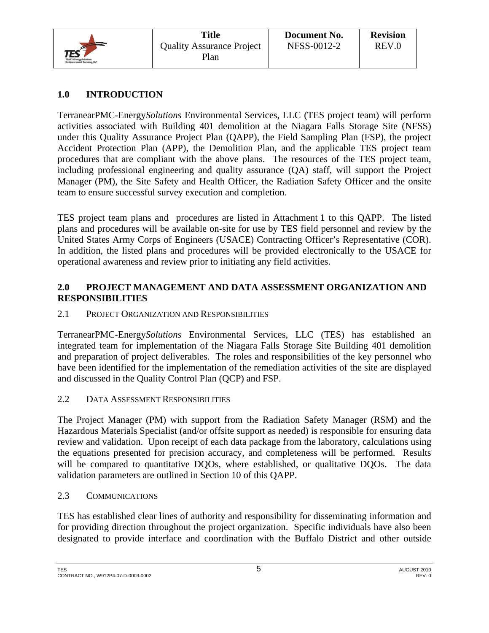

## **1.0 INTRODUCTION**

TerranearPMC-Energy*Solutions* Environmental Services, LLC (TES project team) will perform activities associated with Building 401 demolition at the Niagara Falls Storage Site (NFSS) under this Quality Assurance Project Plan (QAPP), the Field Sampling Plan (FSP), the project Accident Protection Plan (APP), the Demolition Plan, and the applicable TES project team procedures that are compliant with the above plans. The resources of the TES project team, including professional engineering and quality assurance (QA) staff, will support the Project Manager (PM), the Site Safety and Health Officer, the Radiation Safety Officer and the onsite team to ensure successful survey execution and completion.

TES project team plans and procedures are listed in Attachment 1 to this QAPP. The listed plans and procedures will be available on-site for use by TES field personnel and review by the United States Army Corps of Engineers (USACE) Contracting Officer's Representative (COR). In addition, the listed plans and procedures will be provided electronically to the USACE for operational awareness and review prior to initiating any field activities.

## **2.0 PROJECT MANAGEMENT AND DATA ASSESSMENT ORGANIZATION AND RESPONSIBILITIES**

2.1 PROJECT ORGANIZATION AND RESPONSIBILITIES

TerranearPMC-Energy*Solutions* Environmental Services, LLC (TES) has established an integrated team for implementation of the Niagara Falls Storage Site Building 401 demolition and preparation of project deliverables. The roles and responsibilities of the key personnel who have been identified for the implementation of the remediation activities of the site are displayed and discussed in the Quality Control Plan (QCP) and FSP.

2.2 DATA ASSESSMENT RESPONSIBILITIES

The Project Manager (PM) with support from the Radiation Safety Manager (RSM) and the Hazardous Materials Specialist (and/or offsite support as needed) is responsible for ensuring data review and validation. Upon receipt of each data package from the laboratory, calculations using the equations presented for precision accuracy, and completeness will be performed. Results will be compared to quantitative DQOs, where established, or qualitative DQOs. The data validation parameters are outlined in Section 10 of this QAPP.

## 2.3 COMMUNICATIONS

TES has established clear lines of authority and responsibility for disseminating information and for providing direction throughout the project organization. Specific individuals have also been designated to provide interface and coordination with the Buffalo District and other outside

TES AUGUST 2010 CONTRACT NO., W912P4-07-D-0003-0002 REV. 0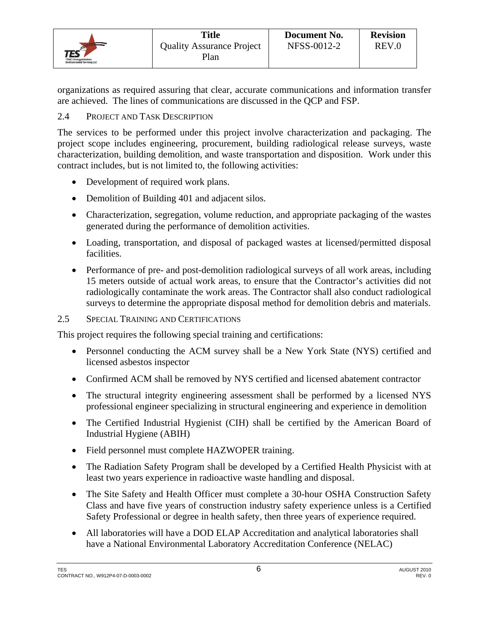

organizations as required assuring that clear, accurate communications and information transfer are achieved. The lines of communications are discussed in the QCP and FSP.

## 2.4 PROJECT AND TASK DESCRIPTION

The services to be performed under this project involve characterization and packaging. The project scope includes engineering, procurement, building radiological release surveys, waste characterization, building demolition, and waste transportation and disposition. Work under this contract includes, but is not limited to, the following activities:

- Development of required work plans.
- Demolition of Building 401 and adjacent silos.
- Characterization, segregation, volume reduction, and appropriate packaging of the wastes generated during the performance of demolition activities.
- Loading, transportation, and disposal of packaged wastes at licensed/permitted disposal facilities.
- Performance of pre- and post-demolition radiological surveys of all work areas, including 15 meters outside of actual work areas, to ensure that the Contractor's activities did not radiologically contaminate the work areas. The Contractor shall also conduct radiological surveys to determine the appropriate disposal method for demolition debris and materials.

## 2.5 SPECIAL TRAINING AND CERTIFICATIONS

This project requires the following special training and certifications:

- Personnel conducting the ACM survey shall be a New York State (NYS) certified and licensed asbestos inspector
- Confirmed ACM shall be removed by NYS certified and licensed abatement contractor
- The structural integrity engineering assessment shall be performed by a licensed NYS professional engineer specializing in structural engineering and experience in demolition
- The Certified Industrial Hygienist (CIH) shall be certified by the American Board of Industrial Hygiene (ABIH)
- Field personnel must complete HAZWOPER training.
- The Radiation Safety Program shall be developed by a Certified Health Physicist with at least two years experience in radioactive waste handling and disposal.
- The Site Safety and Health Officer must complete a 30-hour OSHA Construction Safety Class and have five years of construction industry safety experience unless is a Certified Safety Professional or degree in health safety, then three years of experience required.
- All laboratories will have a DOD ELAP Accreditation and analytical laboratories shall have a National Environmental Laboratory Accreditation Conference (NELAC)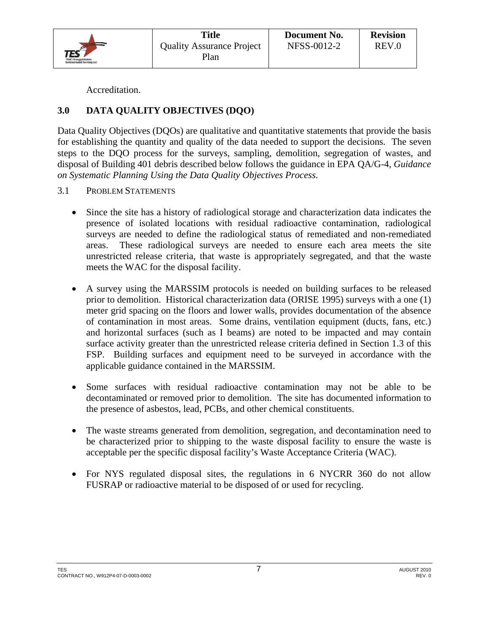

Accreditation.

## **3.0 DATA QUALITY OBJECTIVES (DQO)**

Data Quality Objectives (DQOs) are qualitative and quantitative statements that provide the basis for establishing the quantity and quality of the data needed to support the decisions. The seven steps to the DQO process for the surveys, sampling, demolition, segregation of wastes, and disposal of Building 401 debris described below follows the guidance in EPA QA/G-4, *Guidance on Systematic Planning Using the Data Quality Objectives Process*.

- 3.1 PROBLEM STATEMENTS
	- Since the site has a history of radiological storage and characterization data indicates the presence of isolated locations with residual radioactive contamination, radiological surveys are needed to define the radiological status of remediated and non-remediated areas. These radiological surveys are needed to ensure each area meets the site unrestricted release criteria, that waste is appropriately segregated, and that the waste meets the WAC for the disposal facility.
	- A survey using the MARSSIM protocols is needed on building surfaces to be released prior to demolition. Historical characterization data (ORISE 1995) surveys with a one (1) meter grid spacing on the floors and lower walls, provides documentation of the absence of contamination in most areas. Some drains, ventilation equipment (ducts, fans, etc.) and horizontal surfaces (such as I beams) are noted to be impacted and may contain surface activity greater than the unrestricted release criteria defined in Section 1.3 of this FSP. Building surfaces and equipment need to be surveyed in accordance with the applicable guidance contained in the MARSSIM.
	- Some surfaces with residual radioactive contamination may not be able to be decontaminated or removed prior to demolition. The site has documented information to the presence of asbestos, lead, PCBs, and other chemical constituents.
	- The waste streams generated from demolition, segregation, and decontamination need to be characterized prior to shipping to the waste disposal facility to ensure the waste is acceptable per the specific disposal facility's Waste Acceptance Criteria (WAC).
	- For NYS regulated disposal sites, the regulations in 6 NYCRR 360 do not allow FUSRAP or radioactive material to be disposed of or used for recycling.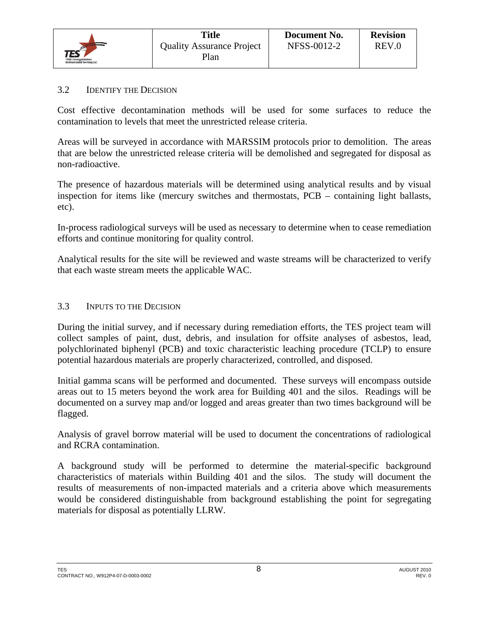

#### 3.2 IDENTIFY THE DECISION

Cost effective decontamination methods will be used for some surfaces to reduce the contamination to levels that meet the unrestricted release criteria.

Areas will be surveyed in accordance with MARSSIM protocols prior to demolition. The areas that are below the unrestricted release criteria will be demolished and segregated for disposal as non-radioactive.

The presence of hazardous materials will be determined using analytical results and by visual inspection for items like (mercury switches and thermostats, PCB – containing light ballasts, etc).

In-process radiological surveys will be used as necessary to determine when to cease remediation efforts and continue monitoring for quality control.

Analytical results for the site will be reviewed and waste streams will be characterized to verify that each waste stream meets the applicable WAC.

#### 3.3 INPUTS TO THE DECISION

During the initial survey, and if necessary during remediation efforts, the TES project team will collect samples of paint, dust, debris, and insulation for offsite analyses of asbestos, lead, polychlorinated biphenyl (PCB) and toxic characteristic leaching procedure (TCLP) to ensure potential hazardous materials are properly characterized, controlled, and disposed.

Initial gamma scans will be performed and documented. These surveys will encompass outside areas out to 15 meters beyond the work area for Building 401 and the silos. Readings will be documented on a survey map and/or logged and areas greater than two times background will be flagged.

Analysis of gravel borrow material will be used to document the concentrations of radiological and RCRA contamination.

A background study will be performed to determine the material-specific background characteristics of materials within Building 401 and the silos. The study will document the results of measurements of non-impacted materials and a criteria above which measurements would be considered distinguishable from background establishing the point for segregating materials for disposal as potentially LLRW.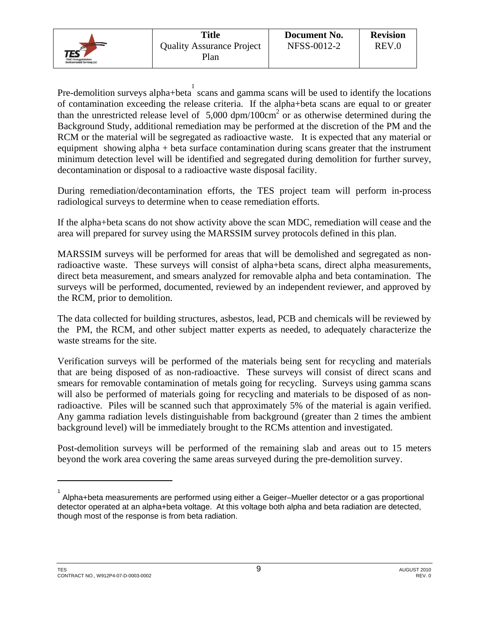Pre-demolition surveys alpha+beta scans and gamma scans will be used to identify the locations of contamination exceeding the release criteria. If the alpha+beta scans are equal to or greater than the unrestricted release level of  $5,000$  dpm/100cm<sup>2</sup> or as otherwise determined during the Background Study, additional remediation may be performed at the discretion of the PM and the RCM or the material will be segregated as radioactive waste. It is expected that any material or equipment showing alpha + beta surface contamination during scans greater that the instrument minimum detection level will be identified and segregated during demolition for further survey, decontamination or disposal to a radioactive waste disposal facility.

During remediation/decontamination efforts, the TES project team will perform in-process radiological surveys to determine when to cease remediation efforts.

If the alpha+beta scans do not show activity above the scan MDC, remediation will cease and the area will prepared for survey using the MARSSIM survey protocols defined in this plan.

MARSSIM surveys will be performed for areas that will be demolished and segregated as nonradioactive waste. These surveys will consist of alpha+beta scans, direct alpha measurements, direct beta measurement, and smears analyzed for removable alpha and beta contamination. The surveys will be performed, documented, reviewed by an independent reviewer, and approved by the RCM, prior to demolition.

The data collected for building structures, asbestos, lead, PCB and chemicals will be reviewed by the PM, the RCM, and other subject matter experts as needed, to adequately characterize the waste streams for the site.

Verification surveys will be performed of the materials being sent for recycling and materials that are being disposed of as non-radioactive. These surveys will consist of direct scans and smears for removable contamination of metals going for recycling. Surveys using gamma scans will also be performed of materials going for recycling and materials to be disposed of as nonradioactive. Piles will be scanned such that approximately 5% of the material is again verified. Any gamma radiation levels distinguishable from background (greater than 2 times the ambient background level) will be immediately brought to the RCMs attention and investigated.

Post-demolition surveys will be performed of the remaining slab and areas out to 15 meters beyond the work area covering the same areas surveyed during the pre-demolition survey.

 $\overline{a}$ 

<sup>1</sup> Alpha+beta measurements are performed using either a Geiger–Mueller detector or a gas proportional detector operated at an alpha+beta voltage. At this voltage both alpha and beta radiation are detected, though most of the response is from beta radiation.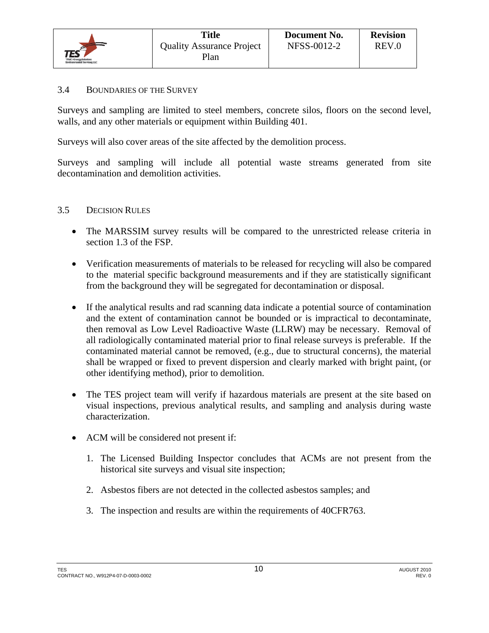

#### 3.4 BOUNDARIES OF THE SURVEY

Surveys and sampling are limited to steel members, concrete silos, floors on the second level, walls, and any other materials or equipment within Building 401.

Surveys will also cover areas of the site affected by the demolition process.

Surveys and sampling will include all potential waste streams generated from site decontamination and demolition activities.

#### 3.5 DECISION RULES

- The MARSSIM survey results will be compared to the unrestricted release criteria in section 1.3 of the FSP.
- Verification measurements of materials to be released for recycling will also be compared to the material specific background measurements and if they are statistically significant from the background they will be segregated for decontamination or disposal.
- If the analytical results and rad scanning data indicate a potential source of contamination and the extent of contamination cannot be bounded or is impractical to decontaminate, then removal as Low Level Radioactive Waste (LLRW) may be necessary. Removal of all radiologically contaminated material prior to final release surveys is preferable. If the contaminated material cannot be removed, (e.g., due to structural concerns), the material shall be wrapped or fixed to prevent dispersion and clearly marked with bright paint, (or other identifying method), prior to demolition.
- The TES project team will verify if hazardous materials are present at the site based on visual inspections, previous analytical results, and sampling and analysis during waste characterization.
- ACM will be considered not present if:
	- 1. The Licensed Building Inspector concludes that ACMs are not present from the historical site surveys and visual site inspection;
	- 2. Asbestos fibers are not detected in the collected asbestos samples; and
	- 3. The inspection and results are within the requirements of 40CFR763.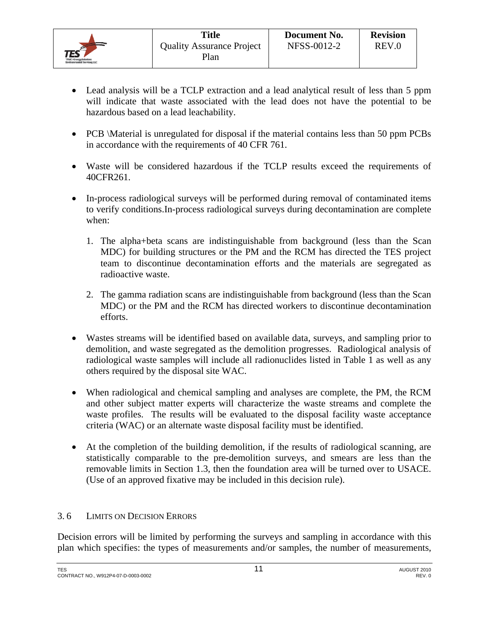

- Lead analysis will be a TCLP extraction and a lead analytical result of less than 5 ppm will indicate that waste associated with the lead does not have the potential to be hazardous based on a lead leachability.
- PCB \Material is unregulated for disposal if the material contains less than 50 ppm PCBs in accordance with the requirements of 40 CFR 761.
- Waste will be considered hazardous if the TCLP results exceed the requirements of 40CFR261.
- In-process radiological surveys will be performed during removal of contaminated items to verify conditions.In-process radiological surveys during decontamination are complete when:
	- 1. The alpha+beta scans are indistinguishable from background (less than the Scan MDC) for building structures or the PM and the RCM has directed the TES project team to discontinue decontamination efforts and the materials are segregated as radioactive waste.
	- 2. The gamma radiation scans are indistinguishable from background (less than the Scan MDC) or the PM and the RCM has directed workers to discontinue decontamination efforts.
- Wastes streams will be identified based on available data, surveys, and sampling prior to demolition, and waste segregated as the demolition progresses. Radiological analysis of radiological waste samples will include all radionuclides listed in Table 1 as well as any others required by the disposal site WAC.
- When radiological and chemical sampling and analyses are complete, the PM, the RCM and other subject matter experts will characterize the waste streams and complete the waste profiles. The results will be evaluated to the disposal facility waste acceptance criteria (WAC) or an alternate waste disposal facility must be identified.
- At the completion of the building demolition, if the results of radiological scanning, are statistically comparable to the pre-demolition surveys, and smears are less than the removable limits in Section 1.3, then the foundation area will be turned over to USACE. (Use of an approved fixative may be included in this decision rule).

## 3. 6 LIMITS ON DECISION ERRORS

Decision errors will be limited by performing the surveys and sampling in accordance with this plan which specifies: the types of measurements and/or samples, the number of measurements,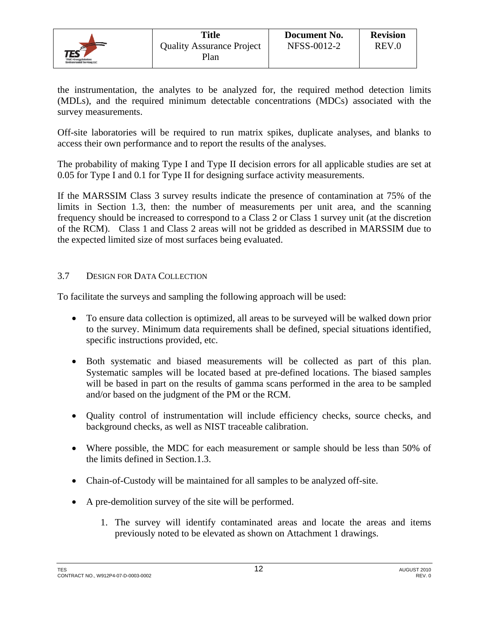

REV.0

the instrumentation, the analytes to be analyzed for, the required method detection limits (MDLs), and the required minimum detectable concentrations (MDCs) associated with the survey measurements.

Off-site laboratories will be required to run matrix spikes, duplicate analyses, and blanks to access their own performance and to report the results of the analyses.

The probability of making Type I and Type II decision errors for all applicable studies are set at 0.05 for Type I and 0.1 for Type II for designing surface activity measurements.

If the MARSSIM Class 3 survey results indicate the presence of contamination at 75% of the limits in Section 1.3, then: the number of measurements per unit area, and the scanning frequency should be increased to correspond to a Class 2 or Class 1 survey unit (at the discretion of the RCM). Class 1 and Class 2 areas will not be gridded as described in MARSSIM due to the expected limited size of most surfaces being evaluated.

## 3.7 DESIGN FOR DATA COLLECTION

To facilitate the surveys and sampling the following approach will be used:

- To ensure data collection is optimized, all areas to be surveyed will be walked down prior to the survey. Minimum data requirements shall be defined, special situations identified, specific instructions provided, etc.
- Both systematic and biased measurements will be collected as part of this plan. Systematic samples will be located based at pre-defined locations. The biased samples will be based in part on the results of gamma scans performed in the area to be sampled and/or based on the judgment of the PM or the RCM.
- Quality control of instrumentation will include efficiency checks, source checks, and background checks, as well as NIST traceable calibration.
- Where possible, the MDC for each measurement or sample should be less than 50% of the limits defined in Section.1.3.
- Chain-of-Custody will be maintained for all samples to be analyzed off-site.
- A pre-demolition survey of the site will be performed.
	- 1. The survey will identify contaminated areas and locate the areas and items previously noted to be elevated as shown on Attachment 1 drawings.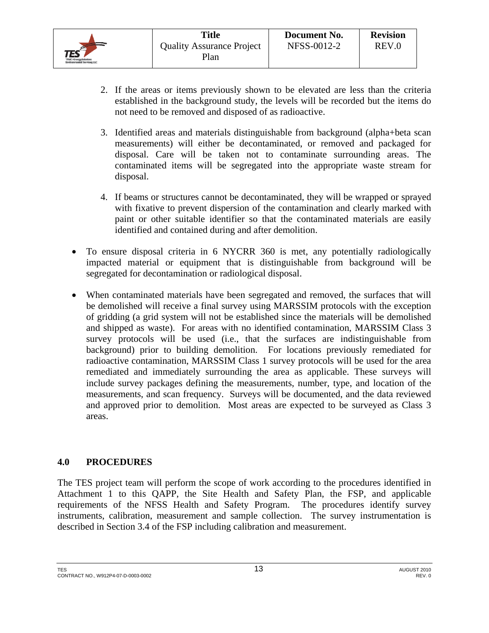

- 2. If the areas or items previously shown to be elevated are less than the criteria established in the background study, the levels will be recorded but the items do not need to be removed and disposed of as radioactive.
- 3. Identified areas and materials distinguishable from background (alpha+beta scan measurements) will either be decontaminated, or removed and packaged for disposal. Care will be taken not to contaminate surrounding areas. The contaminated items will be segregated into the appropriate waste stream for disposal.
- 4. If beams or structures cannot be decontaminated, they will be wrapped or sprayed with fixative to prevent dispersion of the contamination and clearly marked with paint or other suitable identifier so that the contaminated materials are easily identified and contained during and after demolition.
- To ensure disposal criteria in 6 NYCRR 360 is met, any potentially radiologically impacted material or equipment that is distinguishable from background will be segregated for decontamination or radiological disposal.
- When contaminated materials have been segregated and removed, the surfaces that will be demolished will receive a final survey using MARSSIM protocols with the exception of gridding (a grid system will not be established since the materials will be demolished and shipped as waste). For areas with no identified contamination, MARSSIM Class 3 survey protocols will be used (i.e., that the surfaces are indistinguishable from background) prior to building demolition. For locations previously remediated for radioactive contamination, MARSSIM Class 1 survey protocols will be used for the area remediated and immediately surrounding the area as applicable. These surveys will include survey packages defining the measurements, number, type, and location of the measurements, and scan frequency. Surveys will be documented, and the data reviewed and approved prior to demolition. Most areas are expected to be surveyed as Class 3 areas.

## **4.0 PROCEDURES**

The TES project team will perform the scope of work according to the procedures identified in Attachment 1 to this QAPP, the Site Health and Safety Plan, the FSP, and applicable requirements of the NFSS Health and Safety Program. The procedures identify survey instruments, calibration, measurement and sample collection. The survey instrumentation is described in Section 3.4 of the FSP including calibration and measurement.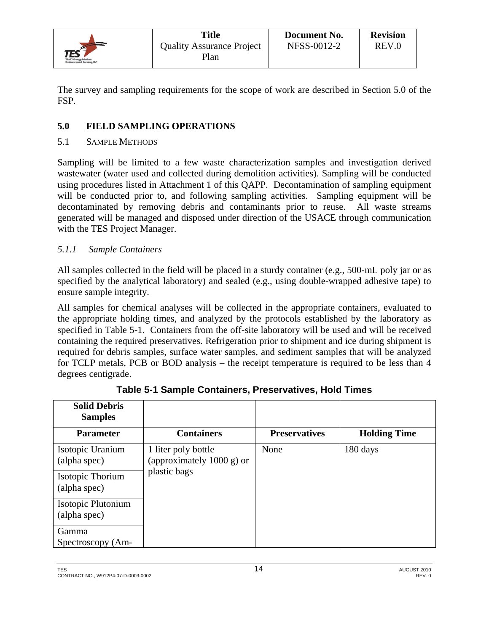

The survey and sampling requirements for the scope of work are described in Section 5.0 of the FSP.

## **5.0 FIELD SAMPLING OPERATIONS**

## 5.1 SAMPLE METHODS

Sampling will be limited to a few waste characterization samples and investigation derived wastewater (water used and collected during demolition activities). Sampling will be conducted using procedures listed in Attachment 1 of this QAPP. Decontamination of sampling equipment will be conducted prior to, and following sampling activities. Sampling equipment will be decontaminated by removing debris and contaminants prior to reuse. All waste streams generated will be managed and disposed under direction of the USACE through communication with the TES Project Manager.

## *5.1.1 Sample Containers*

All samples collected in the field will be placed in a sturdy container (e.g., 500-mL poly jar or as specified by the analytical laboratory) and sealed (e.g., using double-wrapped adhesive tape) to ensure sample integrity.

All samples for chemical analyses will be collected in the appropriate containers, evaluated to the appropriate holding times, and analyzed by the protocols established by the laboratory as specified in Table 5-1. Containers from the off-site laboratory will be used and will be received containing the required preservatives. Refrigeration prior to shipment and ice during shipment is required for debris samples, surface water samples, and sediment samples that will be analyzed for TCLP metals, PCB or BOD analysis – the receipt temperature is required to be less than 4 degrees centigrade.

| <b>Solid Debris</b><br><b>Samples</b> |                                                             |                      |                     |
|---------------------------------------|-------------------------------------------------------------|----------------------|---------------------|
| <b>Parameter</b>                      | <b>Containers</b>                                           | <b>Preservatives</b> | <b>Holding Time</b> |
| Isotopic Uranium<br>(alpha spec)      | 1 liter poly bottle<br>(approximately $1000 \text{ g}$ ) or | None                 | 180 days            |
| Isotopic Thorium<br>(alpha spec)      | plastic bags                                                |                      |                     |
| Isotopic Plutonium<br>(alpha spec)    |                                                             |                      |                     |
| Gamma<br>Spectroscopy (Am-            |                                                             |                      |                     |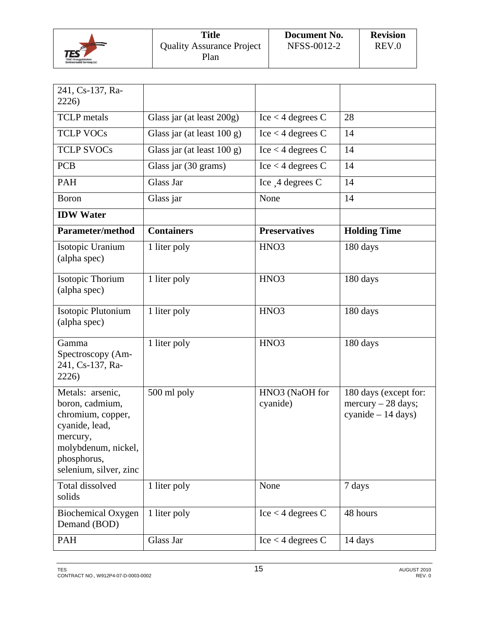|                                                            | <b>Title</b>                             | Document No. | <b>Revision</b> |
|------------------------------------------------------------|------------------------------------------|--------------|-----------------|
| TES<br>TPMC-EnergySnlutines<br>Environmental Services, LLC | <b>Ouality Assurance Project</b><br>Plan | NFSS-0012-2  | REV.0           |

| 241, Cs-137, Ra-<br>2226)                                                                                                                              |                               |                                     |                                                                     |
|--------------------------------------------------------------------------------------------------------------------------------------------------------|-------------------------------|-------------------------------------|---------------------------------------------------------------------|
| <b>TCLP</b> metals                                                                                                                                     | Glass jar (at least 200g)     | $\text{Ice} < 4 \text{ degrees } C$ | 28                                                                  |
| <b>TCLP VOCs</b>                                                                                                                                       | Glass jar (at least $100 g$ ) | $\text{Ice} < 4 \text{ degrees } C$ | 14                                                                  |
| <b>TCLP SVOCs</b>                                                                                                                                      | Glass jar (at least 100 g)    | $Ice < 4$ degrees C                 | 14                                                                  |
| <b>PCB</b>                                                                                                                                             | Glass jar (30 grams)          | $Ice < 4$ degrees C                 | 14                                                                  |
| <b>PAH</b>                                                                                                                                             | Glass Jar                     | Ice $\Box$ 4 degrees C              | 14                                                                  |
| Boron                                                                                                                                                  | Glass jar                     | None                                | 14                                                                  |
| <b>IDW</b> Water                                                                                                                                       |                               |                                     |                                                                     |
| <b>Parameter/method</b>                                                                                                                                | <b>Containers</b>             | <b>Preservatives</b>                | <b>Holding Time</b>                                                 |
| Isotopic Uranium<br>(alpha spec)                                                                                                                       | 1 liter poly                  | HNO <sub>3</sub>                    | 180 days                                                            |
| Isotopic Thorium<br>(alpha spec)                                                                                                                       | 1 liter poly                  | HNO <sub>3</sub>                    | 180 days                                                            |
| Isotopic Plutonium<br>(alpha spec)                                                                                                                     | 1 liter poly                  | HNO <sub>3</sub>                    | 180 days                                                            |
| Gamma<br>Spectroscopy (Am-<br>241, Cs-137, Ra-<br>2226)                                                                                                | 1 liter poly                  | HNO <sub>3</sub>                    | 180 days                                                            |
| Metals: arsenic,<br>boron, cadmium,<br>chromium, copper,<br>cyanide, lead,<br>mercury,<br>molybdenum, nickel,<br>phosphorus,<br>selenium, silver, zinc | 500 ml poly                   | HNO3 (NaOH for<br>cyanide)          | 180 days (except for:<br>mercury $-28$ days;<br>cyanide $-14$ days) |
| Total dissolved<br>solids                                                                                                                              | 1 liter poly                  | None                                | 7 days                                                              |
| <b>Biochemical Oxygen</b><br>Demand (BOD)                                                                                                              | 1 liter poly                  | $Ice < 4$ degrees C                 | 48 hours                                                            |
| PAH                                                                                                                                                    | Glass Jar                     | $\text{Ice} < 4 \text{ degrees } C$ | 14 days                                                             |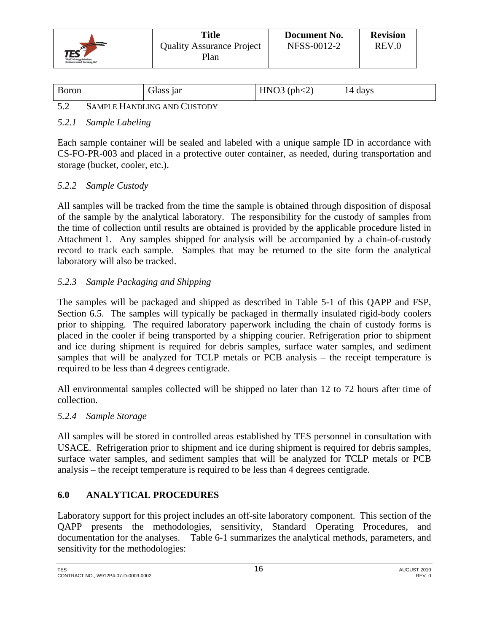

| <b>Boron</b> | Glass <sub>lar</sub>               | HNO3 (ph < 2) | 14 days |
|--------------|------------------------------------|---------------|---------|
| ◡.           | <b>SAMPLE HANDLING AND CUSTODY</b> |               |         |

## *5.2.1 Sample Labeling*

Each sample container will be sealed and labeled with a unique sample ID in accordance with CS-FO-PR-003 and placed in a protective outer container, as needed, during transportation and storage (bucket, cooler, etc.).

## *5.2.2 Sample Custody*

All samples will be tracked from the time the sample is obtained through disposition of disposal of the sample by the analytical laboratory. The responsibility for the custody of samples from the time of collection until results are obtained is provided by the applicable procedure listed in Attachment 1. Any samples shipped for analysis will be accompanied by a chain-of-custody record to track each sample. Samples that may be returned to the site form the analytical laboratory will also be tracked.

## *5.2.3 Sample Packaging and Shipping*

The samples will be packaged and shipped as described in Table 5-1 of this QAPP and FSP, Section 6.5. The samples will typically be packaged in thermally insulated rigid-body coolers prior to shipping. The required laboratory paperwork including the chain of custody forms is placed in the cooler if being transported by a shipping courier. Refrigeration prior to shipment and ice during shipment is required for debris samples, surface water samples, and sediment samples that will be analyzed for TCLP metals or PCB analysis – the receipt temperature is required to be less than 4 degrees centigrade.

All environmental samples collected will be shipped no later than 12 to 72 hours after time of collection.

## *5.2.4 Sample Storage*

All samples will be stored in controlled areas established by TES personnel in consultation with USACE. Refrigeration prior to shipment and ice during shipment is required for debris samples, surface water samples, and sediment samples that will be analyzed for TCLP metals or PCB analysis – the receipt temperature is required to be less than 4 degrees centigrade.

## **6.0 ANALYTICAL PROCEDURES**

Laboratory support for this project includes an off-site laboratory component. This section of the QAPP presents the methodologies, sensitivity, Standard Operating Procedures, and documentation for the analyses. Table 6-1 summarizes the analytical methods, parameters, and sensitivity for the methodologies: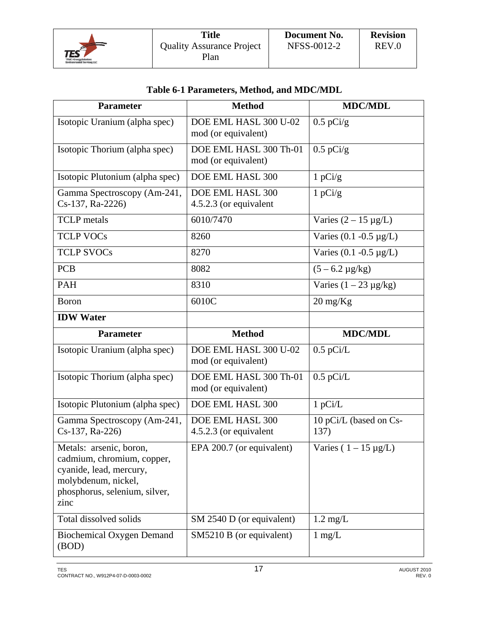

| Table 6-1 Parameters, Method, and MDC/MDL |  |  |
|-------------------------------------------|--|--|
|                                           |  |  |

| <b>Parameter</b>                                                                                                                                 | <b>Method</b>                                 | <b>MDC/MDL</b>                 |
|--------------------------------------------------------------------------------------------------------------------------------------------------|-----------------------------------------------|--------------------------------|
| Isotopic Uranium (alpha spec)                                                                                                                    | DOE EML HASL 300 U-02<br>mod (or equivalent)  | $0.5$ pCi/g                    |
| Isotopic Thorium (alpha spec)                                                                                                                    | DOE EML HASL 300 Th-01<br>mod (or equivalent) | $0.5$ pCi/g                    |
| Isotopic Plutonium (alpha spec)                                                                                                                  | DOE EML HASL 300                              | 1 pCi/g                        |
| Gamma Spectroscopy (Am-241,<br>Cs-137, Ra-2226)                                                                                                  | DOE EML HASL 300<br>4.5.2.3 (or equivalent    | 1 pCi/g                        |
| <b>TCLP</b> metals                                                                                                                               | 6010/7470                                     | Varies $(2 – 15 \mu g/L)$      |
| <b>TCLP VOCs</b>                                                                                                                                 | 8260                                          | Varies $(0.1 - 0.5 \mu g/L)$   |
| <b>TCLP SVOCs</b>                                                                                                                                | 8270                                          | Varies $(0.1 - 0.5 \mu g/L)$   |
| <b>PCB</b>                                                                                                                                       | 8082                                          | $(5 - 6.2 \,\mu g/kg)$         |
| <b>PAH</b>                                                                                                                                       | 8310                                          | Varies $(1 – 23 \mu g/kg)$     |
| <b>Boron</b>                                                                                                                                     | 6010C                                         | $20 \text{ mg/Kg}$             |
| <b>IDW</b> Water                                                                                                                                 |                                               |                                |
| <b>Parameter</b>                                                                                                                                 | <b>Method</b>                                 | <b>MDC/MDL</b>                 |
|                                                                                                                                                  |                                               |                                |
| Isotopic Uranium (alpha spec)                                                                                                                    | DOE EML HASL 300 U-02<br>mod (or equivalent)  | $0.5$ pCi/L                    |
| Isotopic Thorium (alpha spec)                                                                                                                    | DOE EML HASL 300 Th-01<br>mod (or equivalent) | $0.5$ pCi/L                    |
| Isotopic Plutonium (alpha spec)                                                                                                                  | DOE EML HASL 300                              | 1 pCi/L                        |
| Gamma Spectroscopy (Am-241,<br>Cs-137, Ra-226)                                                                                                   | DOE EML HASL 300<br>4.5.2.3 (or equivalent    | 10 pCi/L (based on Cs-<br>137) |
| Metals: arsenic, boron,<br>cadmium, chromium, copper,<br>cyanide, lead, mercury,<br>molybdenum, nickel,<br>phosphorus, selenium, silver,<br>zinc | EPA 200.7 (or equivalent)                     | Varies ( $1 - 15 \mu g/L$ )    |
| Total dissolved solids                                                                                                                           | SM 2540 D (or equivalent)                     | $1.2 \text{ mg/L}$             |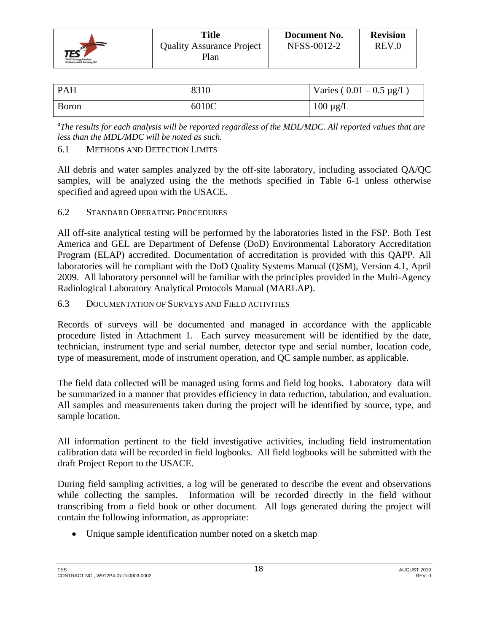

| Title                            | Document No. | <b>Revision</b> |
|----------------------------------|--------------|-----------------|
| <b>Quality Assurance Project</b> | NFSS-0012-2  | REV.0           |
| Plan                             |              |                 |

| <b>PAH</b> | 8310  | Varies ( $0.01 - 0.5 \mu g/L$ ) |
|------------|-------|---------------------------------|
| Boron      | 6010C | $100 \mu g/L$                   |

*a The results for each analysis will be reported regardless of the MDL/MDC. All reported values that are less than the MDL/MDC will be noted as such.* 

## 6.1 METHODS AND DETECTION LIMITS

All debris and water samples analyzed by the off-site laboratory, including associated QA/QC samples, will be analyzed using the the methods specified in Table 6-1 unless otherwise specified and agreed upon with the USACE.

## 6.2 STANDARD OPERATING PROCEDURES

All off-site analytical testing will be performed by the laboratories listed in the FSP. Both Test America and GEL are Department of Defense (DoD) Environmental Laboratory Accreditation Program (ELAP) accredited. Documentation of accreditation is provided with this QAPP. All laboratories will be compliant with the DoD Quality Systems Manual (QSM), Version 4.1, April 2009. All laboratory personnel will be familiar with the principles provided in the Multi-Agency Radiological Laboratory Analytical Protocols Manual (MARLAP).

6.3 DOCUMENTATION OF SURVEYS AND FIELD ACTIVITIES

Records of surveys will be documented and managed in accordance with the applicable procedure listed in Attachment 1. Each survey measurement will be identified by the date, technician, instrument type and serial number, detector type and serial number, location code, type of measurement, mode of instrument operation, and QC sample number, as applicable.

The field data collected will be managed using forms and field log books. Laboratory data will be summarized in a manner that provides efficiency in data reduction, tabulation, and evaluation. All samples and measurements taken during the project will be identified by source, type, and sample location.

All information pertinent to the field investigative activities, including field instrumentation calibration data will be recorded in field logbooks. All field logbooks will be submitted with the draft Project Report to the USACE.

During field sampling activities, a log will be generated to describe the event and observations while collecting the samples. Information will be recorded directly in the field without transcribing from a field book or other document. All logs generated during the project will contain the following information, as appropriate:

Unique sample identification number noted on a sketch map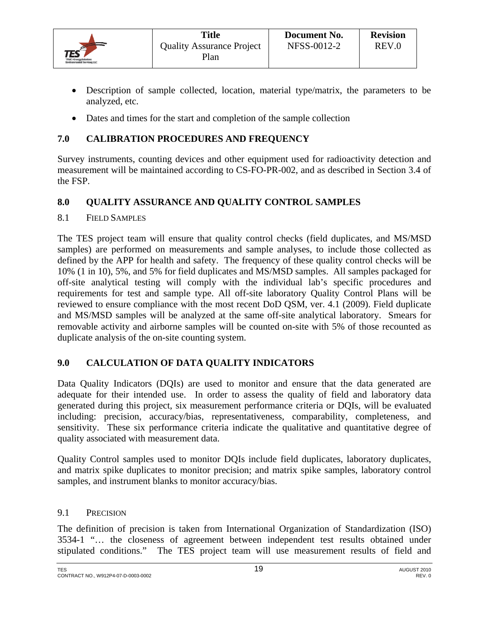

- Description of sample collected, location, material type/matrix, the parameters to be analyzed, etc.
- Dates and times for the start and completion of the sample collection

## **7.0 CALIBRATION PROCEDURES AND FREQUENCY**

Survey instruments, counting devices and other equipment used for radioactivity detection and measurement will be maintained according to CS-FO-PR-002, and as described in Section 3.4 of the FSP.

## **8.0 QUALITY ASSURANCE AND QUALITY CONTROL SAMPLES**

#### 8.1 FIELD SAMPLES

The TES project team will ensure that quality control checks (field duplicates, and MS/MSD samples) are performed on measurements and sample analyses, to include those collected as defined by the APP for health and safety. The frequency of these quality control checks will be 10% (1 in 10), 5%, and 5% for field duplicates and MS/MSD samples. All samples packaged for off-site analytical testing will comply with the individual lab's specific procedures and requirements for test and sample type. All off-site laboratory Quality Control Plans will be reviewed to ensure compliance with the most recent DoD QSM, ver. 4.1 (2009). Field duplicate and MS/MSD samples will be analyzed at the same off-site analytical laboratory. Smears for removable activity and airborne samples will be counted on-site with 5% of those recounted as duplicate analysis of the on-site counting system.

## **9.0 CALCULATION OF DATA QUALITY INDICATORS**

Data Quality Indicators (DQIs) are used to monitor and ensure that the data generated are adequate for their intended use. In order to assess the quality of field and laboratory data generated during this project, six measurement performance criteria or DQIs, will be evaluated including: precision, accuracy/bias, representativeness, comparability, completeness, and sensitivity. These six performance criteria indicate the qualitative and quantitative degree of quality associated with measurement data.

Quality Control samples used to monitor DQIs include field duplicates, laboratory duplicates, and matrix spike duplicates to monitor precision; and matrix spike samples, laboratory control samples, and instrument blanks to monitor accuracy/bias.

#### 9.1 PRECISION

The definition of precision is taken from International Organization of Standardization (ISO) 3534-1 "… the closeness of agreement between independent test results obtained under stipulated conditions." The TES project team will use measurement results of field and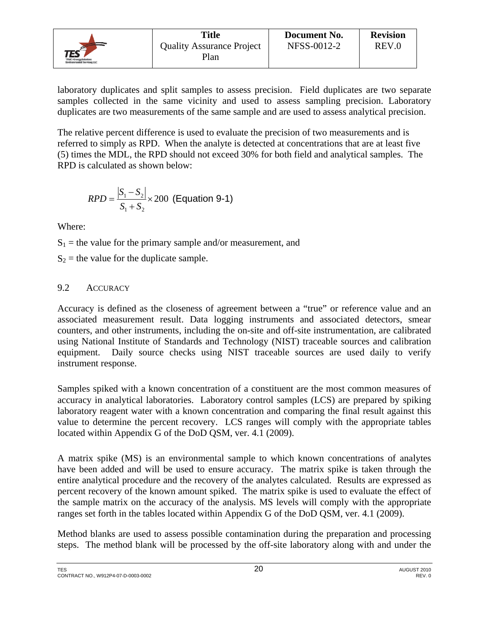|                                                            | Title                            | Document No. | <b>Revision</b> |
|------------------------------------------------------------|----------------------------------|--------------|-----------------|
| $\mathcal{I}\mathsf{ES}^{\mathscr{E}}$                     | <b>Quality Assurance Project</b> | NFSS-0012-2  | REV.0           |
| TPMC-Energyfinkelaw:<br><b>Environmental Services, LLC</b> | Plan                             |              |                 |

laboratory duplicates and split samples to assess precision. Field duplicates are two separate samples collected in the same vicinity and used to assess sampling precision. Laboratory duplicates are two measurements of the same sample and are used to assess analytical precision.

The relative percent difference is used to evaluate the precision of two measurements and is referred to simply as RPD. When the analyte is detected at concentrations that are at least five (5) times the MDL, the RPD should not exceed 30% for both field and analytical samples. The RPD is calculated as shown below:

$$
RPD = \frac{|S_1 - S_2|}{S_1 + S_2} \times 200
$$
 (Equation 9-1)

Where:

 $S_1$  = the value for the primary sample and/or measurement, and

 $S_2$  = the value for the duplicate sample.

## 9.2 ACCURACY

Accuracy is defined as the closeness of agreement between a "true" or reference value and an associated measurement result. Data logging instruments and associated detectors, smear counters, and other instruments, including the on-site and off-site instrumentation, are calibrated using National Institute of Standards and Technology (NIST) traceable sources and calibration equipment. Daily source checks using NIST traceable sources are used daily to verify instrument response.

Samples spiked with a known concentration of a constituent are the most common measures of accuracy in analytical laboratories. Laboratory control samples (LCS) are prepared by spiking laboratory reagent water with a known concentration and comparing the final result against this value to determine the percent recovery. LCS ranges will comply with the appropriate tables located within Appendix G of the DoD QSM, ver. 4.1 (2009).

A matrix spike (MS) is an environmental sample to which known concentrations of analytes have been added and will be used to ensure accuracy. The matrix spike is taken through the entire analytical procedure and the recovery of the analytes calculated. Results are expressed as percent recovery of the known amount spiked. The matrix spike is used to evaluate the effect of the sample matrix on the accuracy of the analysis. MS levels will comply with the appropriate ranges set forth in the tables located within Appendix G of the DoD QSM, ver. 4.1 (2009).

Method blanks are used to assess possible contamination during the preparation and processing steps. The method blank will be processed by the off-site laboratory along with and under the

TES AUGUST 2010  $20$  and  $20$ CONTRACT NO., W912P4-07-D-0003-0002 REV. 0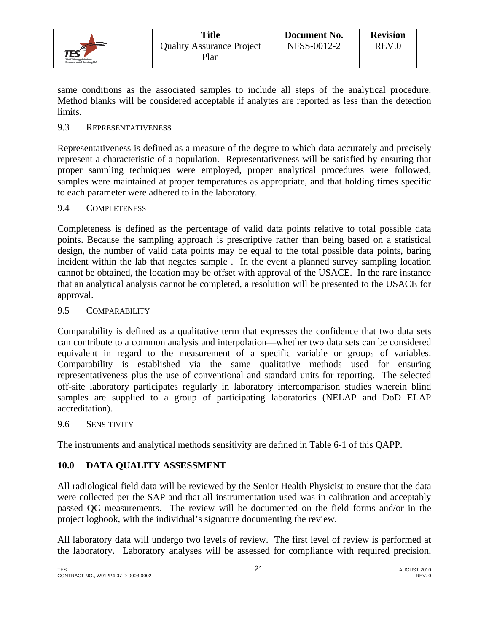

same conditions as the associated samples to include all steps of the analytical procedure. Method blanks will be considered acceptable if analytes are reported as less than the detection limits.

#### 9.3 REPRESENTATIVENESS

Representativeness is defined as a measure of the degree to which data accurately and precisely represent a characteristic of a population. Representativeness will be satisfied by ensuring that proper sampling techniques were employed, proper analytical procedures were followed, samples were maintained at proper temperatures as appropriate, and that holding times specific to each parameter were adhered to in the laboratory.

#### 9.4 COMPLETENESS

Completeness is defined as the percentage of valid data points relative to total possible data points. Because the sampling approach is prescriptive rather than being based on a statistical design, the number of valid data points may be equal to the total possible data points, baring incident within the lab that negates sample . In the event a planned survey sampling location cannot be obtained, the location may be offset with approval of the USACE. In the rare instance that an analytical analysis cannot be completed, a resolution will be presented to the USACE for approval.

#### 9.5 COMPARABILITY

Comparability is defined as a qualitative term that expresses the confidence that two data sets can contribute to a common analysis and interpolation—whether two data sets can be considered equivalent in regard to the measurement of a specific variable or groups of variables. Comparability is established via the same qualitative methods used for ensuring representativeness plus the use of conventional and standard units for reporting. The selected off-site laboratory participates regularly in laboratory intercomparison studies wherein blind samples are supplied to a group of participating laboratories (NELAP and DoD ELAP accreditation).

#### 9.6 SENSITIVITY

The instruments and analytical methods sensitivity are defined in Table 6-1 of this QAPP.

## **10.0 DATA QUALITY ASSESSMENT**

All radiological field data will be reviewed by the Senior Health Physicist to ensure that the data were collected per the SAP and that all instrumentation used was in calibration and acceptably passed QC measurements. The review will be documented on the field forms and/or in the project logbook, with the individual's signature documenting the review.

All laboratory data will undergo two levels of review. The first level of review is performed at the laboratory. Laboratory analyses will be assessed for compliance with required precision,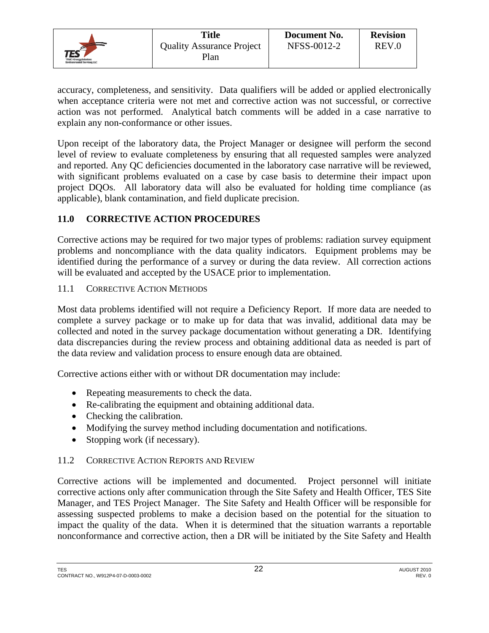

accuracy, completeness, and sensitivity. Data qualifiers will be added or applied electronically when acceptance criteria were not met and corrective action was not successful, or corrective action was not performed. Analytical batch comments will be added in a case narrative to explain any non-conformance or other issues.

Upon receipt of the laboratory data, the Project Manager or designee will perform the second level of review to evaluate completeness by ensuring that all requested samples were analyzed and reported. Any QC deficiencies documented in the laboratory case narrative will be reviewed, with significant problems evaluated on a case by case basis to determine their impact upon project DQOs. All laboratory data will also be evaluated for holding time compliance (as applicable), blank contamination, and field duplicate precision.

## **11.0 CORRECTIVE ACTION PROCEDURES**

Corrective actions may be required for two major types of problems: radiation survey equipment problems and noncompliance with the data quality indicators. Equipment problems may be identified during the performance of a survey or during the data review. All correction actions will be evaluated and accepted by the USACE prior to implementation.

## 11.1 CORRECTIVE ACTION METHODS

Most data problems identified will not require a Deficiency Report. If more data are needed to complete a survey package or to make up for data that was invalid, additional data may be collected and noted in the survey package documentation without generating a DR. Identifying data discrepancies during the review process and obtaining additional data as needed is part of the data review and validation process to ensure enough data are obtained.

Corrective actions either with or without DR documentation may include:

- Repeating measurements to check the data.
- Re-calibrating the equipment and obtaining additional data.
- Checking the calibration.
- Modifying the survey method including documentation and notifications.
- Stopping work (if necessary).

## 11.2 CORRECTIVE ACTION REPORTS AND REVIEW

Corrective actions will be implemented and documented. Project personnel will initiate corrective actions only after communication through the Site Safety and Health Officer, TES Site Manager, and TES Project Manager. The Site Safety and Health Officer will be responsible for assessing suspected problems to make a decision based on the potential for the situation to impact the quality of the data. When it is determined that the situation warrants a reportable nonconformance and corrective action, then a DR will be initiated by the Site Safety and Health

TES AUGUST 2010  $22$  and  $22$  and  $21$  and  $22$  and  $21$  and  $21$  and  $21$  and  $21$  and  $21$  and  $21$  and  $21$  and  $21$  and  $21$  and  $21$  and  $21$  and  $21$  and  $21$  and  $21$  and  $21$  and  $21$  and  $21$  and  $21$  and  $21$  an CONTRACT NO., W912P4-07-D-0003-0002 REV. 0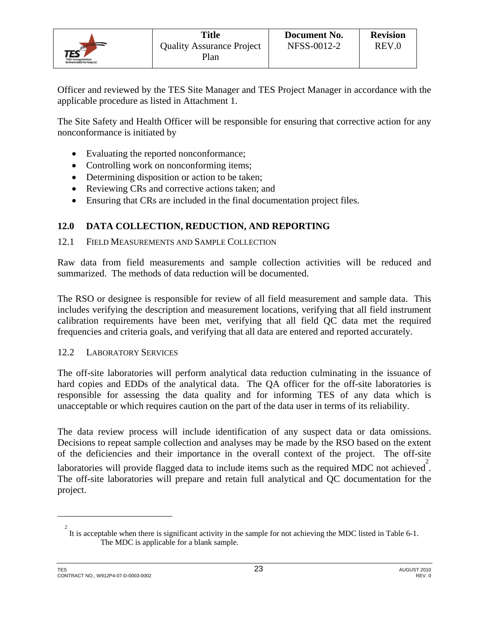

Officer and reviewed by the TES Site Manager and TES Project Manager in accordance with the applicable procedure as listed in Attachment 1.

The Site Safety and Health Officer will be responsible for ensuring that corrective action for any nonconformance is initiated by

- Evaluating the reported nonconformance;
- Controlling work on nonconforming items;
- Determining disposition or action to be taken;
- Reviewing CRs and corrective actions taken; and
- Ensuring that CRs are included in the final documentation project files.

## **12.0 DATA COLLECTION, REDUCTION, AND REPORTING**

#### 12.1 FIELD MEASUREMENTS AND SAMPLE COLLECTION

Raw data from field measurements and sample collection activities will be reduced and summarized. The methods of data reduction will be documented.

The RSO or designee is responsible for review of all field measurement and sample data. This includes verifying the description and measurement locations, verifying that all field instrument calibration requirements have been met, verifying that all field QC data met the required frequencies and criteria goals, and verifying that all data are entered and reported accurately.

## 12.2 LABORATORY SERVICES

The off-site laboratories will perform analytical data reduction culminating in the issuance of hard copies and EDDs of the analytical data. The QA officer for the off-site laboratories is responsible for assessing the data quality and for informing TES of any data which is unacceptable or which requires caution on the part of the data user in terms of its reliability.

The data review process will include identification of any suspect data or data omissions. Decisions to repeat sample collection and analyses may be made by the RSO based on the extent of the deficiencies and their importance in the overall context of the project. The off-site laboratories will provide flagged data to include items such as the required MDC not achieved<sup>2</sup>. The off-site laboratories will prepare and retain full analytical and QC documentation for the project.

1

 $2<sup>2</sup>$  It is acceptable when there is significant activity in the sample for not achieving the MDC listed in Table 6-1. The MDC is applicable for a blank sample.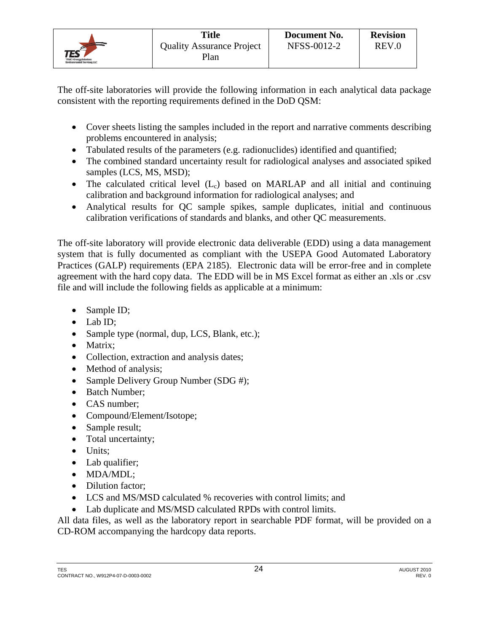

The off-site laboratories will provide the following information in each analytical data package consistent with the reporting requirements defined in the DoD QSM:

- Cover sheets listing the samples included in the report and narrative comments describing problems encountered in analysis;
- Tabulated results of the parameters (e.g. radionuclides) identified and quantified;
- The combined standard uncertainty result for radiological analyses and associated spiked samples (LCS, MS, MSD);
- The calculated critical level  $(L_c)$  based on MARLAP and all initial and continuing calibration and background information for radiological analyses; and
- Analytical results for QC sample spikes, sample duplicates, initial and continuous calibration verifications of standards and blanks, and other QC measurements.

The off-site laboratory will provide electronic data deliverable (EDD) using a data management system that is fully documented as compliant with the USEPA Good Automated Laboratory Practices (GALP) requirements (EPA 2185). Electronic data will be error-free and in complete agreement with the hard copy data. The EDD will be in MS Excel format as either an .xls or .csv file and will include the following fields as applicable at a minimum:

- Sample ID;
- $\bullet$  Lab ID:
- Sample type (normal, dup, LCS, Blank, etc.);
- Matrix:
- Collection, extraction and analysis dates;
- Method of analysis;
- Sample Delivery Group Number (SDG #);
- Batch Number;
- CAS number;
- Compound/Element/Isotope;
- Sample result;
- Total uncertainty;
- Units;
- Lab qualifier;
- MDA/MDL;
- Dilution factor:
- LCS and MS/MSD calculated % recoveries with control limits; and
- Lab duplicate and MS/MSD calculated RPDs with control limits.

All data files, as well as the laboratory report in searchable PDF format, will be provided on a CD-ROM accompanying the hardcopy data reports.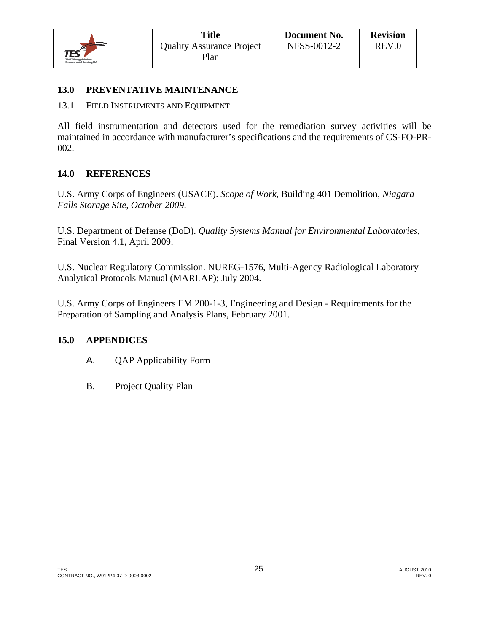

## **13.0 PREVENTATIVE MAINTENANCE**

13.1 FIELD INSTRUMENTS AND EQUIPMENT

All field instrumentation and detectors used for the remediation survey activities will be maintained in accordance with manufacturer's specifications and the requirements of CS-FO-PR-002.

#### **14.0 REFERENCES**

U.S. Army Corps of Engineers (USACE). *Scope of Work,* Building 401 Demolition, *Niagara Falls Storage Site, October 2009*.

U.S. Department of Defense (DoD). *Quality Systems Manual for Environmental Laboratories*, Final Version 4.1, April 2009.

U.S. Nuclear Regulatory Commission. NUREG-1576, Multi-Agency Radiological Laboratory Analytical Protocols Manual (MARLAP); July 2004.

U.S. Army Corps of Engineers EM 200-1-3, Engineering and Design - Requirements for the Preparation of Sampling and Analysis Plans, February 2001.

## **15.0 APPENDICES**

- A. QAP Applicability Form
- B. Project Quality Plan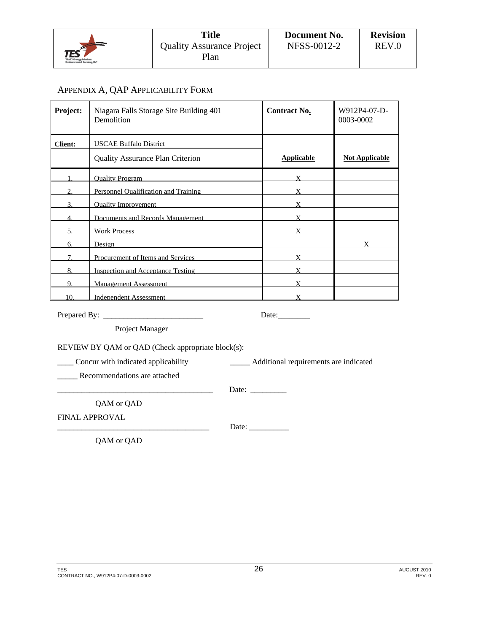

#### APPENDIX A, QAP APPLICABILITY FORM

| Project:<br>Niagara Falls Storage Site Building 401<br>Demolition |                                         | <b>Contract No.</b> | W912P4-07-D-<br>0003-0002 |
|-------------------------------------------------------------------|-----------------------------------------|---------------------|---------------------------|
| <b>Client:</b>                                                    | <b>USCAE Buffalo District</b>           |                     |                           |
|                                                                   | <b>Quality Assurance Plan Criterion</b> | <b>Applicable</b>   | <b>Not Applicable</b>     |
|                                                                   | <b>Ouality Program</b>                  |                     |                           |
| າ                                                                 | Personnel Oualification and Training    |                     |                           |
|                                                                   | <b>Ouality Improvement</b>              |                     |                           |
|                                                                   | Documents and Records Management        |                     |                           |
|                                                                   | <b>Work Process</b>                     |                     |                           |
| 6                                                                 | Design                                  |                     |                           |
|                                                                   | Procurement of Items and Services       |                     |                           |
| 8.                                                                | Inspection and Acceptance Testing       |                     |                           |
| 9.                                                                | <b>Management Assessment</b>            |                     |                           |
| 10.                                                               | Independent Assessment                  |                     |                           |

Prepared By: \_\_\_\_\_\_\_\_\_\_\_\_\_\_\_\_\_\_\_\_\_\_\_\_\_ Date:\_\_\_\_\_\_\_\_

Project Manager

REVIEW BY QAM or QAD (Check appropriate block(s):

\_\_\_\_ Concur with indicated applicability \_\_\_\_\_ Additional requirements are indicated

\_\_\_\_\_ Recommendations are attached

\_\_\_\_\_\_\_\_\_\_\_\_\_\_\_\_\_\_\_\_\_\_\_\_\_\_\_\_\_\_\_\_\_\_\_\_\_\_\_ Date: \_\_\_\_\_\_\_\_\_

QAM or QAD

FINAL APPROVAL

\_\_\_\_\_\_\_\_\_\_\_\_\_\_\_\_\_\_\_\_\_\_\_\_\_\_\_\_\_\_\_\_\_\_\_\_\_\_ Date: \_\_\_\_\_\_\_\_\_\_

QAM or QAD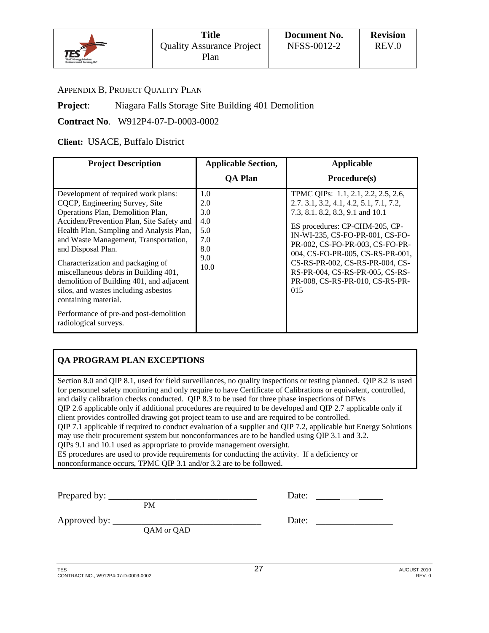

#### APPENDIX B, PROJECT QUALITY PLAN

#### **Project:** Niagara Falls Storage Site Building 401 Demolition

#### **Contract No**. W912P4-07-D-0003-0002

#### **Client:** USACE, Buffalo District

| <b>Project Description</b>                                                                                                                                                                                                                                                                                                                                                                                                                                                                                                      | <b>Applicable Section,</b>                                   | <b>Applicable</b>                                                                                                                                                                                                                                                                                                                                                              |
|---------------------------------------------------------------------------------------------------------------------------------------------------------------------------------------------------------------------------------------------------------------------------------------------------------------------------------------------------------------------------------------------------------------------------------------------------------------------------------------------------------------------------------|--------------------------------------------------------------|--------------------------------------------------------------------------------------------------------------------------------------------------------------------------------------------------------------------------------------------------------------------------------------------------------------------------------------------------------------------------------|
|                                                                                                                                                                                                                                                                                                                                                                                                                                                                                                                                 | <b>QA Plan</b>                                               | $Proceedure(s)$                                                                                                                                                                                                                                                                                                                                                                |
| Development of required work plans:<br>CQCP, Engineering Survey, Site<br>Operations Plan, Demolition Plan,<br>Accident/Prevention Plan, Site Safety and<br>Health Plan, Sampling and Analysis Plan,<br>and Waste Management, Transportation,<br>and Disposal Plan.<br>Characterization and packaging of<br>miscellaneous debris in Building 401,<br>demolition of Building 401, and adjacent<br>silos, and wastes including asbestos<br>containing material.<br>Performance of pre-and post-demolition<br>radiological surveys. | 1.0<br>2.0<br>3.0<br>4.0<br>5.0<br>7.0<br>8.0<br>9.0<br>10.0 | TPMC QIPs: 1.1, 2.1, 2.2, 2.5, 2.6,<br>2.7. 3.1, 3.2, 4.1, 4.2, 5.1, 7.1, 7.2,<br>7.3, 8.1. 8.2, 8.3, 9.1 and 10.1<br>ES procedures: CP-CHM-205, CP-<br>IN-WI-235, CS-FO-PR-001, CS-FO-<br>PR-002, CS-FO-PR-003, CS-FO-PR-<br>004, CS-FO-PR-005, CS-RS-PR-001,<br>CS-RS-PR-002, CS-RS-PR-004, CS-<br>RS-PR-004, CS-RS-PR-005, CS-RS-<br>PR-008, CS-RS-PR-010, CS-RS-PR-<br>015 |

## **QA PROGRAM PLAN EXCEPTIONS**

Section 8.0 and QIP 8.1, used for field surveillances, no quality inspections or testing planned. QIP 8.2 is used for personnel safety monitoring and only require to have Certificate of Calibrations or equivalent, controlled, and daily calibration checks conducted. QIP 8.3 to be used for three phase inspections of DFWs QIP 2.6 applicable only if additional procedures are required to be developed and QIP 2.7 applicable only if client provides controlled drawing got project team to use and are required to be controlled. QIP 7.1 applicable if required to conduct evaluation of a supplier and QIP 7.2, applicable but Energy Solutions may use their procurement system but nonconformances are to be handled using QIP 3.1 and 3.2. QIPs 9.1 and 10.1 used as appropriate to provide management oversight. ES procedures are used to provide requirements for conducting the activity. If a deficiency or nonconformance occurs, TPMC QIP 3.1 and/or 3.2 are to be followed.

Prepared by: \_\_\_\_\_\_\_\_\_\_\_\_\_\_\_\_\_\_\_\_\_\_\_\_\_\_\_\_\_\_\_ Date: \_\_\_\_\_ \_\_\_\_\_ PM

Approved by: \_\_\_\_\_\_\_\_\_\_\_\_\_\_\_\_\_\_\_\_\_\_\_\_\_\_\_\_\_\_\_ Date: \_\_\_\_\_\_\_\_\_\_\_\_\_\_\_\_

QAM or QAD

| ∼ |  |  |  |  |
|---|--|--|--|--|

TES AUGUST 2010  $27$  and  $27$  and  $27$  and  $27$  and  $27$  and  $27$  and  $27$  and  $27$  and  $27$  and  $27$  and  $27$  and  $27$  and  $27$  and  $27$  and  $27$  and  $27$  and  $27$  and  $27$  and  $27$  and  $27$  and  $27$  and  $27$  and  $27$  an CONTRACT NO., W912P4-07-D-0003-0002 REV. 0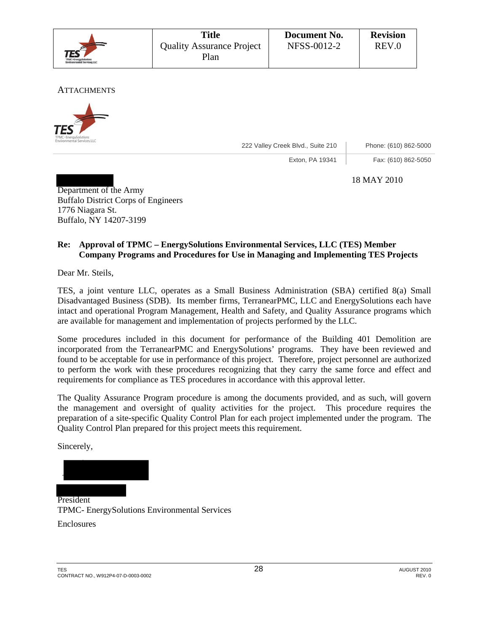|                                                                   | <b>Title</b>                             | Document No. | <b>Revision</b> |
|-------------------------------------------------------------------|------------------------------------------|--------------|-----------------|
| <b>TES</b><br>TPMC-Energyfinkeland<br>Environmental Services, LLC | <b>Quality Assurance Project</b><br>Plan | NFSS-0012-2  | REV.0           |

**ATTACHMENTS** 



222 Valley Creek Blvd., Suite 210 Phone: (610) 862-5000

Exton, PA 19341 | Fax: (610) 862-5050

18 MAY 2010

Department of the Army Buffalo District Corps of Engineers 1776 Niagara St. Buffalo, NY 14207-3199

## **Re: Approval of TPMC – EnergySolutions Environmental Services, LLC (TES) Member Company Programs and Procedures for Use in Managing and Implementing TES Projects**

Dear Mr. Steils,

TES, a joint venture LLC, operates as a Small Business Administration (SBA) certified 8(a) Small Disadvantaged Business (SDB). Its member firms, TerranearPMC, LLC and EnergySolutions each have intact and operational Program Management, Health and Safety, and Quality Assurance programs which are available for management and implementation of projects performed by the LLC.

Some procedures included in this document for performance of the Building 401 Demolition are incorporated from the TerranearPMC and EnergySolutions' programs. They have been reviewed and found to be acceptable for use in performance of this project. Therefore, project personnel are authorized to perform the work with these procedures recognizing that they carry the same force and effect and requirements for compliance as TES procedures in accordance with this approval letter.

The Quality Assurance Program procedure is among the documents provided, and as such, will govern the management and oversight of quality activities for the project. This procedure requires the preparation of a site-specific Quality Control Plan for each project implemented under the program. The Quality Control Plan prepared for this project meets this requirement.

Sincerely,

President TPMC- EnergySolutions Environmental Services

Enclosures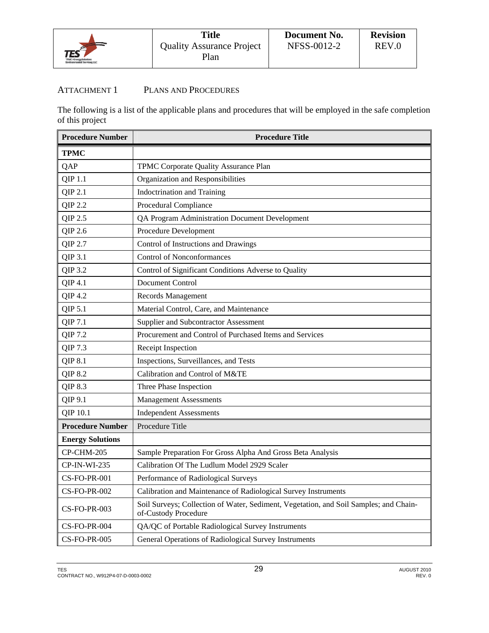

## ATTACHMENT 1 PLANS AND PROCEDURES

The following is a list of the applicable plans and procedures that will be employed in the safe completion of this project

| <b>Procedure Number</b> | <b>Procedure Title</b>                                                                                        |
|-------------------------|---------------------------------------------------------------------------------------------------------------|
| <b>TPMC</b>             |                                                                                                               |
| QAP                     | TPMC Corporate Quality Assurance Plan                                                                         |
| QIP 1.1                 | Organization and Responsibilities                                                                             |
| QIP 2.1                 | <b>Indoctrination and Training</b>                                                                            |
| QIP 2.2                 | Procedural Compliance                                                                                         |
| QIP 2.5                 | QA Program Administration Document Development                                                                |
| QIP 2.6                 | Procedure Development                                                                                         |
| QIP 2.7                 | Control of Instructions and Drawings                                                                          |
| QIP 3.1                 | <b>Control of Nonconformances</b>                                                                             |
| QIP 3.2                 | Control of Significant Conditions Adverse to Quality                                                          |
| QIP 4.1                 | <b>Document Control</b>                                                                                       |
| QIP 4.2                 | Records Management                                                                                            |
| QIP 5.1                 | Material Control, Care, and Maintenance                                                                       |
| QIP 7.1                 | Supplier and Subcontractor Assessment                                                                         |
| QIP 7.2                 | Procurement and Control of Purchased Items and Services                                                       |
| QIP 7.3                 | Receipt Inspection                                                                                            |
| QIP 8.1                 | Inspections, Surveillances, and Tests                                                                         |
| QIP 8.2                 | Calibration and Control of M&TE                                                                               |
| QIP 8.3                 | Three Phase Inspection                                                                                        |
| QIP 9.1                 | <b>Management Assessments</b>                                                                                 |
| QIP 10.1                | <b>Independent Assessments</b>                                                                                |
| <b>Procedure Number</b> | Procedure Title                                                                                               |
| <b>Energy Solutions</b> |                                                                                                               |
| CP-CHM-205              | Sample Preparation For Gross Alpha And Gross Beta Analysis                                                    |
| CP-IN-WI-235            | Calibration Of The Ludlum Model 2929 Scaler                                                                   |
| <b>CS-FO-PR-001</b>     | Performance of Radiological Surveys                                                                           |
| CS-FO-PR-002            | Calibration and Maintenance of Radiological Survey Instruments                                                |
| <b>CS-FO-PR-003</b>     | Soil Surveys; Collection of Water, Sediment, Vegetation, and Soil Samples; and Chain-<br>of-Custody Procedure |
| CS-FO-PR-004            | QA/QC of Portable Radiological Survey Instruments                                                             |
| <b>CS-FO-PR-005</b>     | General Operations of Radiological Survey Instruments                                                         |